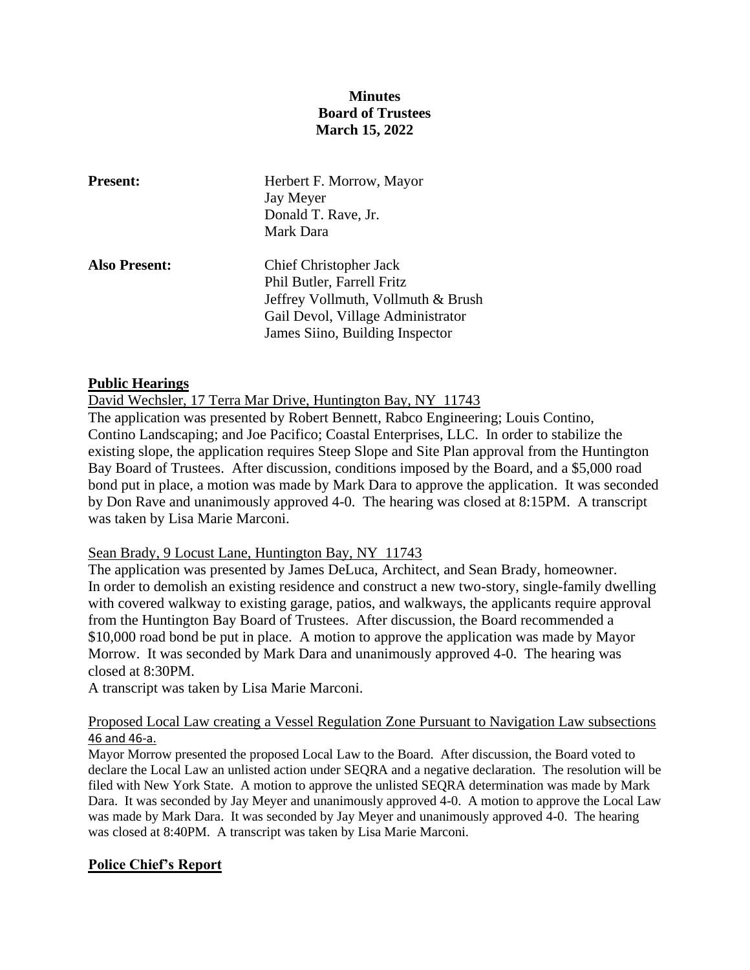## **Minutes Board of Trustees March 15, 2022**

| <b>Present:</b>      | Herbert F. Morrow, Mayor<br>Jay Meyer<br>Donald T. Rave, Jr.<br>Mark Dara                                                                                                 |
|----------------------|---------------------------------------------------------------------------------------------------------------------------------------------------------------------------|
| <b>Also Present:</b> | <b>Chief Christopher Jack</b><br>Phil Butler, Farrell Fritz<br>Jeffrey Vollmuth, Vollmuth & Brush<br>Gail Devol, Village Administrator<br>James Siino, Building Inspector |

### **Public Hearings**

David Wechsler, 17 Terra Mar Drive, Huntington Bay, NY 11743

The application was presented by Robert Bennett, Rabco Engineering; Louis Contino, Contino Landscaping; and Joe Pacifico; Coastal Enterprises, LLC. In order to stabilize the existing slope, the application requires Steep Slope and Site Plan approval from the Huntington Bay Board of Trustees. After discussion, conditions imposed by the Board, and a \$5,000 road bond put in place, a motion was made by Mark Dara to approve the application. It was seconded by Don Rave and unanimously approved 4-0. The hearing was closed at 8:15PM. A transcript was taken by Lisa Marie Marconi.

#### Sean Brady, 9 Locust Lane, Huntington Bay, NY 11743

The application was presented by James DeLuca, Architect, and Sean Brady, homeowner. In order to demolish an existing residence and construct a new two-story, single-family dwelling with covered walkway to existing garage, patios, and walkways, the applicants require approval from the Huntington Bay Board of Trustees. After discussion, the Board recommended a \$10,000 road bond be put in place. A motion to approve the application was made by Mayor Morrow. It was seconded by Mark Dara and unanimously approved 4-0. The hearing was closed at 8:30PM.

A transcript was taken by Lisa Marie Marconi.

### Proposed Local Law creating a Vessel Regulation Zone Pursuant to Navigation Law subsections 46 and 46-a.

Mayor Morrow presented the proposed Local Law to the Board. After discussion, the Board voted to declare the Local Law an unlisted action under SEQRA and a negative declaration. The resolution will be filed with New York State. A motion to approve the unlisted SEQRA determination was made by Mark Dara. It was seconded by Jay Meyer and unanimously approved 4-0. A motion to approve the Local Law was made by Mark Dara. It was seconded by Jay Meyer and unanimously approved 4-0. The hearing was closed at 8:40PM. A transcript was taken by Lisa Marie Marconi.

### **Police Chief's Report**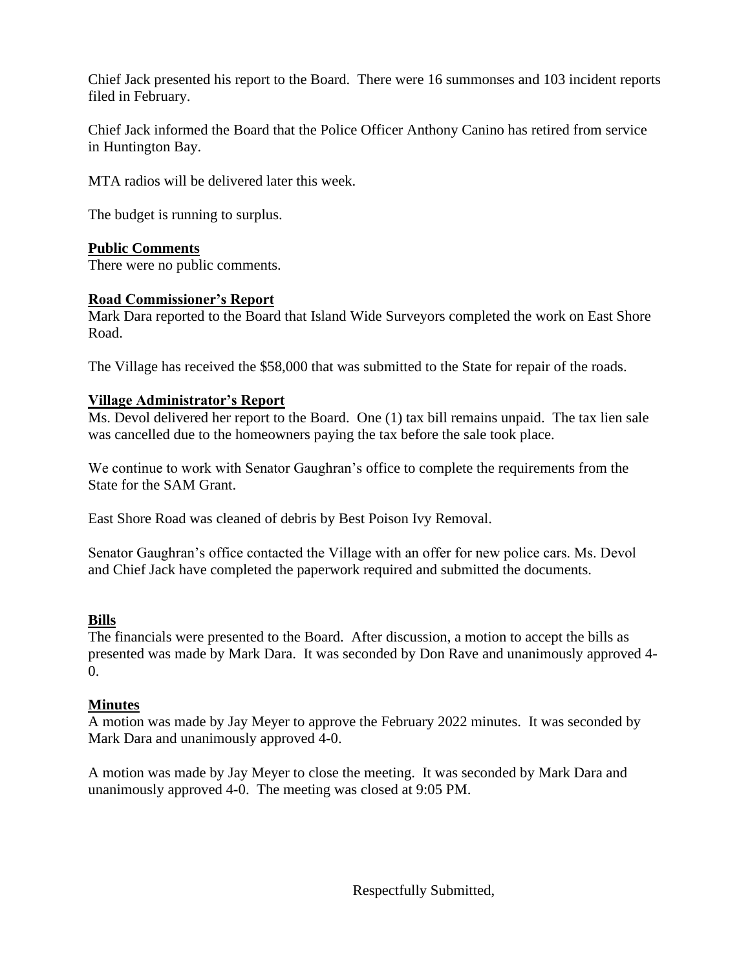Chief Jack presented his report to the Board. There were 16 summonses and 103 incident reports filed in February.

Chief Jack informed the Board that the Police Officer Anthony Canino has retired from service in Huntington Bay.

MTA radios will be delivered later this week.

The budget is running to surplus.

## **Public Comments**

There were no public comments.

## **Road Commissioner's Report**

Mark Dara reported to the Board that Island Wide Surveyors completed the work on East Shore Road.

The Village has received the \$58,000 that was submitted to the State for repair of the roads.

## **Village Administrator's Report**

Ms. Devol delivered her report to the Board. One (1) tax bill remains unpaid. The tax lien sale was cancelled due to the homeowners paying the tax before the sale took place.

We continue to work with Senator Gaughran's office to complete the requirements from the State for the SAM Grant.

East Shore Road was cleaned of debris by Best Poison Ivy Removal.

Senator Gaughran's office contacted the Village with an offer for new police cars. Ms. Devol and Chief Jack have completed the paperwork required and submitted the documents.

### **Bills**

The financials were presented to the Board. After discussion, a motion to accept the bills as presented was made by Mark Dara. It was seconded by Don Rave and unanimously approved 4-  $\overline{0}$ .

### **Minutes**

A motion was made by Jay Meyer to approve the February 2022 minutes. It was seconded by Mark Dara and unanimously approved 4-0.

A motion was made by Jay Meyer to close the meeting. It was seconded by Mark Dara and unanimously approved 4-0. The meeting was closed at 9:05 PM.

Respectfully Submitted,